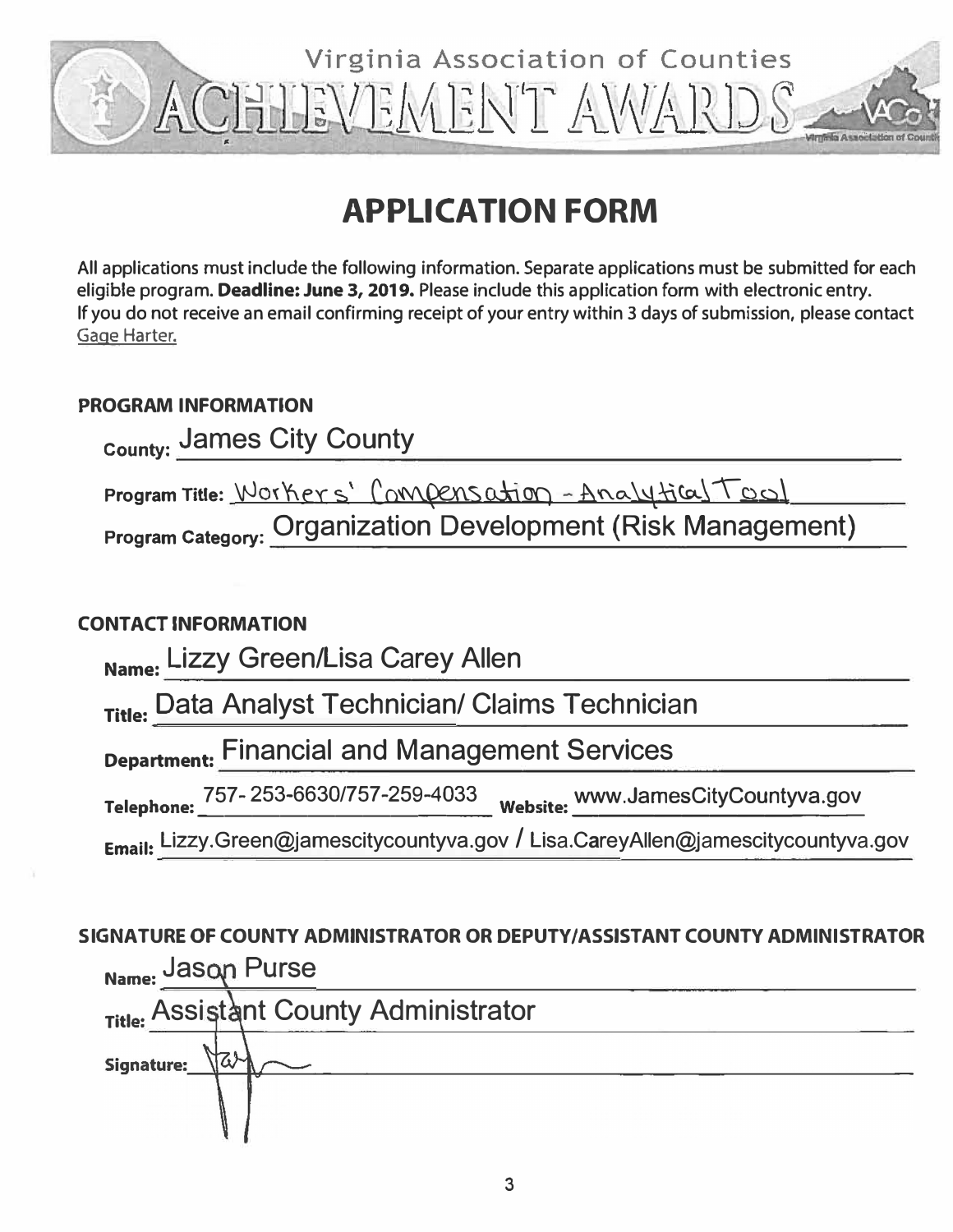

# **APPLICATION FORM**

**All applications must include the following information. Separate applications must be submitted for each eligible program. Deadline: June 3, 2019. Please include this application form with electronic entry. If you do not receive an email confirming receipt of your entry within 3 days of submission, please contact**  Gage **Harter.** 

# **PROGRAM INFORMATION**

| County: James City County                                                                                              |
|------------------------------------------------------------------------------------------------------------------------|
| Program Title: Workers' Compensation - Analytical Tool<br>Program Category: Organization Development (Risk Management) |
| <b>CONTACT INFORMATION</b>                                                                                             |
| Name: Lizzy Green/Lisa Carey Allen                                                                                     |
| Title: Data Analyst Technician/ Claims Technician                                                                      |
| <b>Department: Financial and Management Services</b>                                                                   |
|                                                                                                                        |

**T I h** 757- 253-6630/757-259-4<sup>033</sup> w **b** ·t www.JamesCityCountyva.gov **e ep one:\_\_\_\_\_\_\_\_\_\_\_ e s1 e: \_\_\_\_\_\_\_\_\_\_ \_** 

**Email:** Lizzy.Green@jamescitycountyva.gov / Lisa.C**a**reyAllen@jamescitycountyva.gov

# **SIGNATURE OF COUNTY ADMINISTRATOR OR DEPUTY/ ASSISTANT COUNTY ADMINISTRATOR Name: Jason Purse**

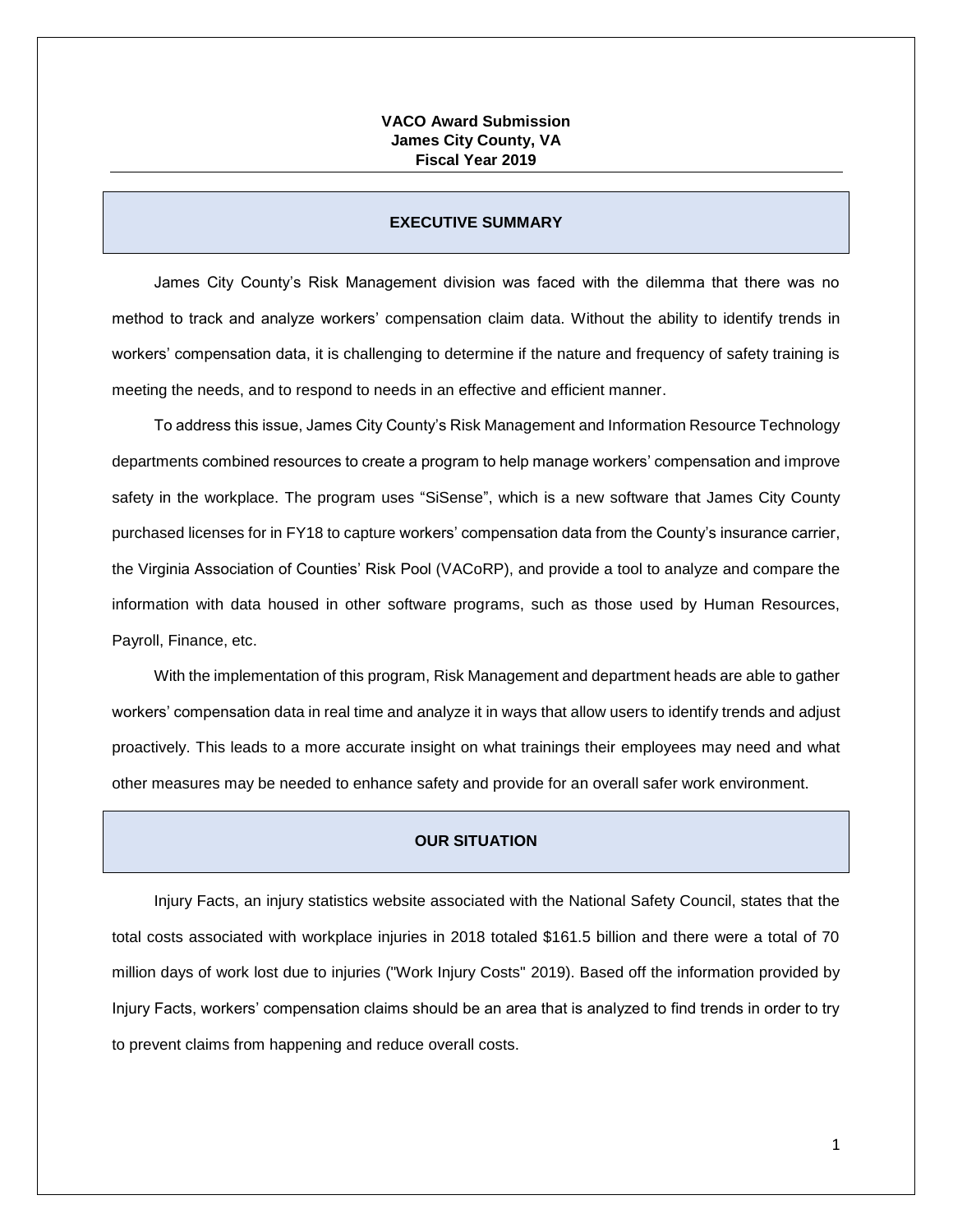## **VACO Award Submission James City County, VA Fiscal Year 2019**

#### **EXECUTIVE SUMMARY**

James City County's Risk Management division was faced with the dilemma that there was no method to track and analyze workers' compensation claim data. Without the ability to identify trends in workers' compensation data, it is challenging to determine if the nature and frequency of safety training is meeting the needs, and to respond to needs in an effective and efficient manner.

To address this issue, James City County's Risk Management and Information Resource Technology departments combined resources to create a program to help manage workers' compensation and improve safety in the workplace. The program uses "SiSense", which is a new software that James City County purchased licenses for in FY18 to capture workers' compensation data from the County's insurance carrier, the Virginia Association of Counties' Risk Pool (VACoRP), and provide a tool to analyze and compare the information with data housed in other software programs, such as those used by Human Resources, Payroll, Finance, etc.

With the implementation of this program, Risk Management and department heads are able to gather workers' compensation data in real time and analyze it in ways that allow users to identify trends and adjust proactively. This leads to a more accurate insight on what trainings their employees may need and what other measures may be needed to enhance safety and provide for an overall safer work environment.

# **OUR SITUATION**

Injury Facts, an injury statistics website associated with the National Safety Council, states that the total costs associated with workplace injuries in 2018 totaled \$161.5 billion and there were a total of 70 million days of work lost due to injuries ("Work Injury Costs" 2019). Based off the information provided by Injury Facts, workers' compensation claims should be an area that is analyzed to find trends in order to try to prevent claims from happening and reduce overall costs.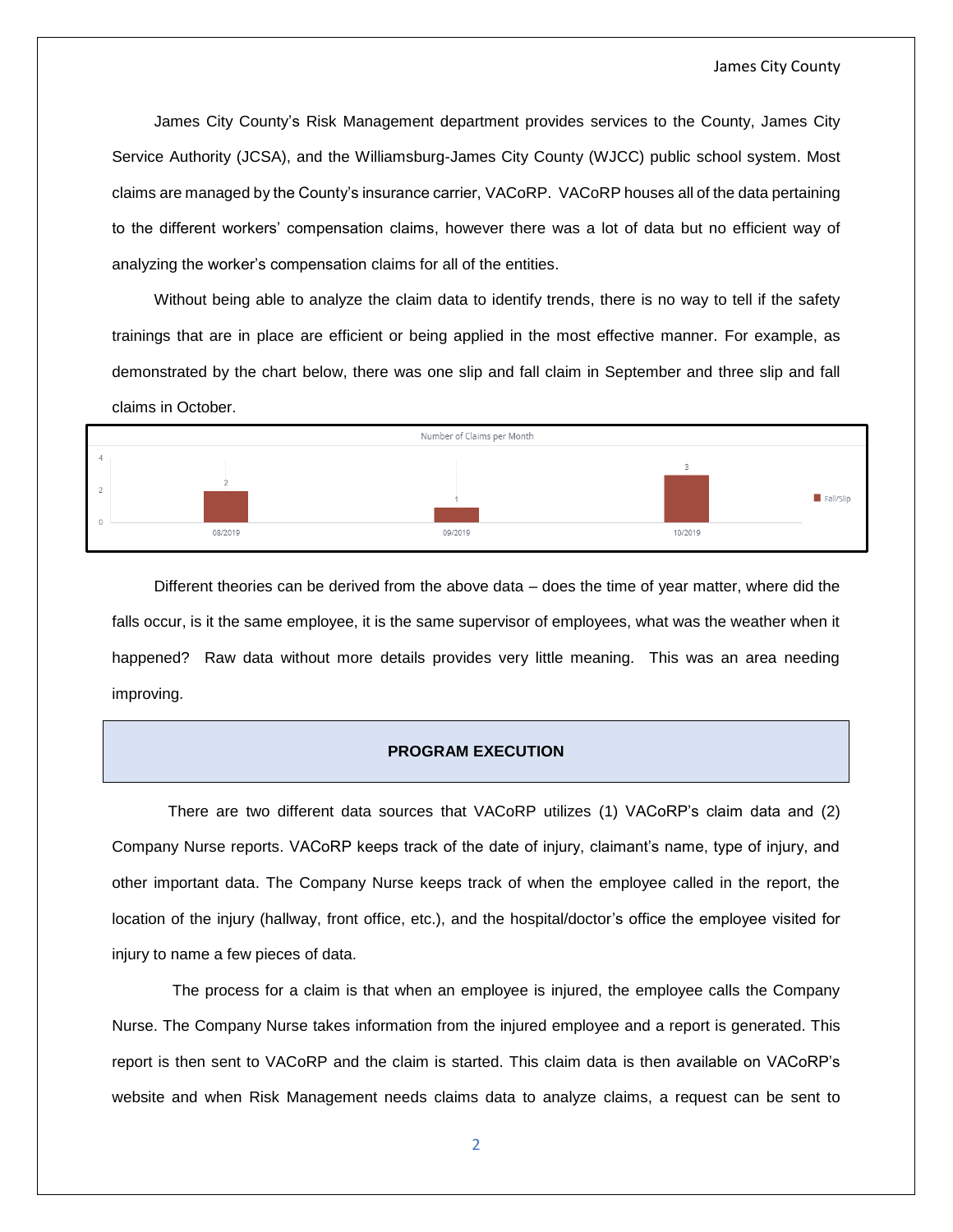James City County's Risk Management department provides services to the County, James City Service Authority (JCSA), and the Williamsburg-James City County (WJCC) public school system. Most claims are managed by the County's insurance carrier, VACoRP. VACoRP houses all of the data pertaining to the different workers' compensation claims, however there was a lot of data but no efficient way of analyzing the worker's compensation claims for all of the entities.

Without being able to analyze the claim data to identify trends, there is no way to tell if the safety trainings that are in place are efficient or being applied in the most effective manner. For example, as demonstrated by the chart below, there was one slip and fall claim in September and three slip and fall claims in October.



Different theories can be derived from the above data – does the time of year matter, where did the falls occur, is it the same employee, it is the same supervisor of employees, what was the weather when it happened? Raw data without more details provides very little meaning. This was an area needing improving.

#### **PROGRAM EXECUTION**

There are two different data sources that VACoRP utilizes (1) VACoRP's claim data and (2) Company Nurse reports. VACoRP keeps track of the date of injury, claimant's name, type of injury, and other important data. The Company Nurse keeps track of when the employee called in the report, the location of the injury (hallway, front office, etc.), and the hospital/doctor's office the employee visited for injury to name a few pieces of data.

The process for a claim is that when an employee is injured, the employee calls the Company Nurse. The Company Nurse takes information from the injured employee and a report is generated. This report is then sent to VACoRP and the claim is started. This claim data is then available on VACoRP's website and when Risk Management needs claims data to analyze claims, a request can be sent to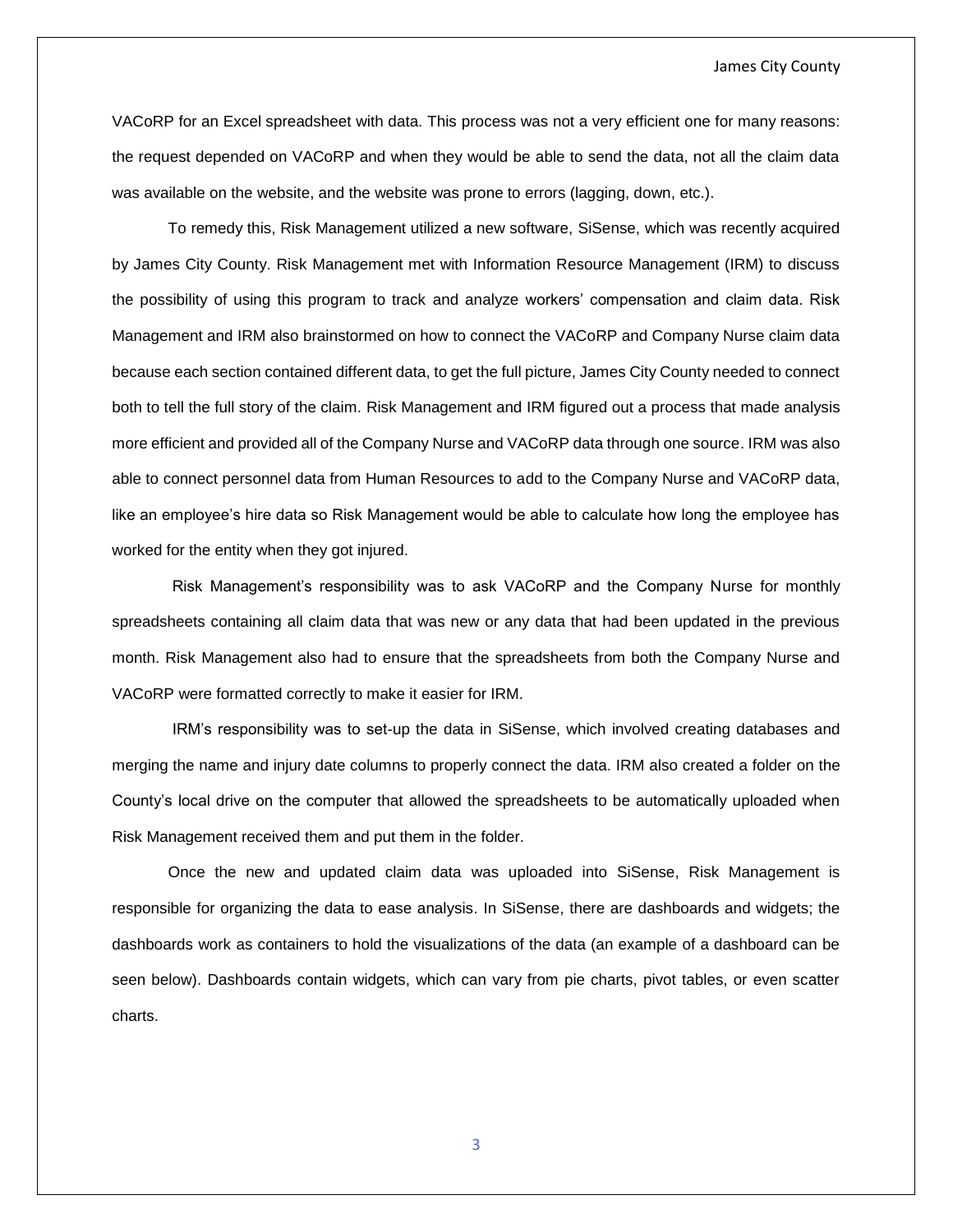#### James City County

VACoRP for an Excel spreadsheet with data. This process was not a very efficient one for many reasons: the request depended on VACoRP and when they would be able to send the data, not all the claim data was available on the website, and the website was prone to errors (lagging, down, etc.).

To remedy this, Risk Management utilized a new software, SiSense, which was recently acquired by James City County. Risk Management met with Information Resource Management (IRM) to discuss the possibility of using this program to track and analyze workers' compensation and claim data. Risk Management and IRM also brainstormed on how to connect the VACoRP and Company Nurse claim data because each section contained different data, to get the full picture, James City County needed to connect both to tell the full story of the claim. Risk Management and IRM figured out a process that made analysis more efficient and provided all of the Company Nurse and VACoRP data through one source. IRM was also able to connect personnel data from Human Resources to add to the Company Nurse and VACoRP data, like an employee's hire data so Risk Management would be able to calculate how long the employee has worked for the entity when they got injured.

Risk Management's responsibility was to ask VACoRP and the Company Nurse for monthly spreadsheets containing all claim data that was new or any data that had been updated in the previous month. Risk Management also had to ensure that the spreadsheets from both the Company Nurse and VACoRP were formatted correctly to make it easier for IRM.

IRM's responsibility was to set-up the data in SiSense, which involved creating databases and merging the name and injury date columns to properly connect the data. IRM also created a folder on the County's local drive on the computer that allowed the spreadsheets to be automatically uploaded when Risk Management received them and put them in the folder.

Once the new and updated claim data was uploaded into SiSense, Risk Management is responsible for organizing the data to ease analysis. In SiSense, there are dashboards and widgets; the dashboards work as containers to hold the visualizations of the data (an example of a dashboard can be seen below). Dashboards contain widgets, which can vary from pie charts, pivot tables, or even scatter charts.

3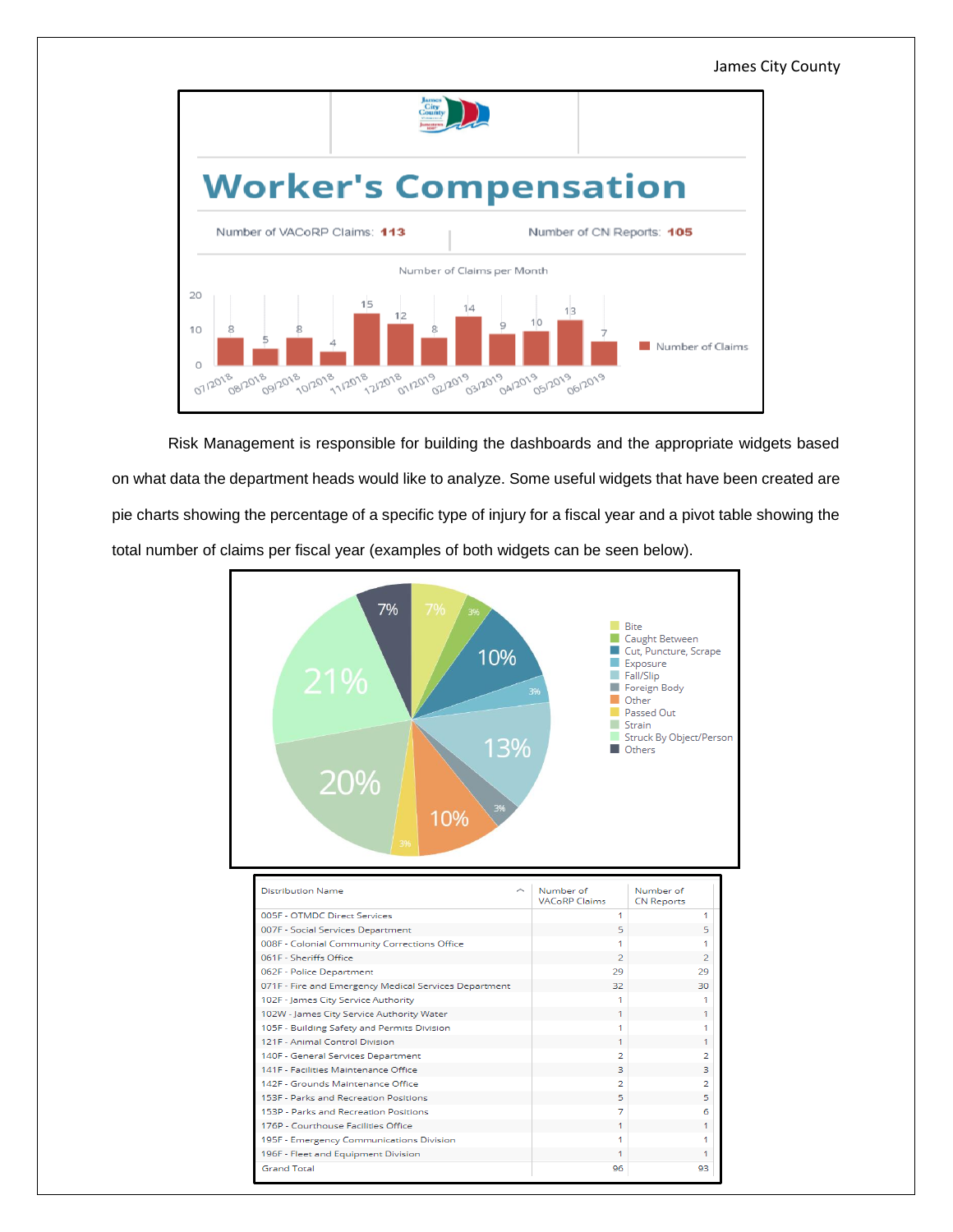James City County



Risk Management is responsible for building the dashboards and the appropriate widgets based on what data the department heads would like to analyze. Some useful widgets that have been created are pie charts showing the percentage of a specific type of injury for a fiscal year and a pivot table showing the total number of claims per fiscal year (examples of both widgets can be seen below).

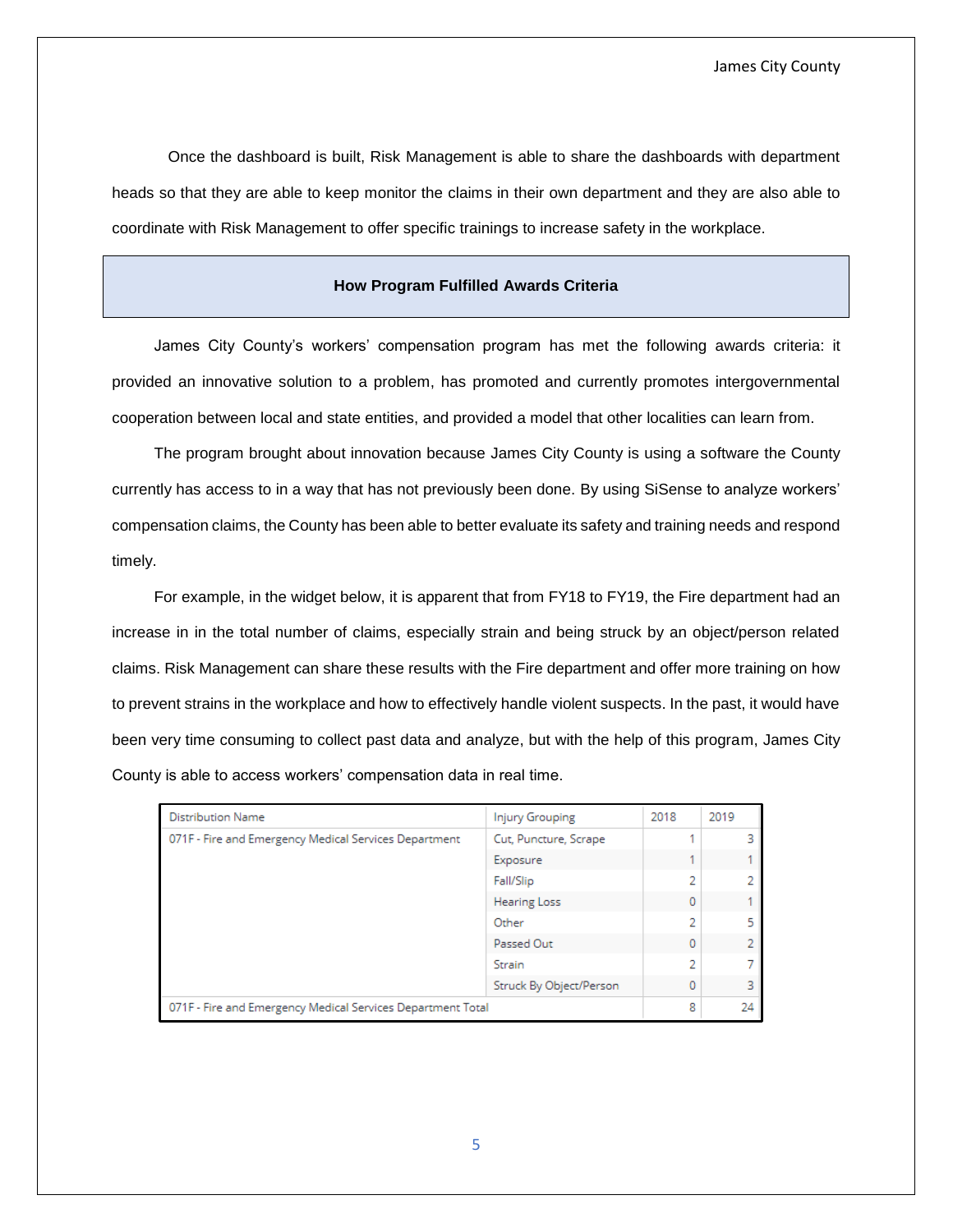Once the dashboard is built, Risk Management is able to share the dashboards with department heads so that they are able to keep monitor the claims in their own department and they are also able to coordinate with Risk Management to offer specific trainings to increase safety in the workplace.

#### **How Program Fulfilled Awards Criteria**

James City County's workers' compensation program has met the following awards criteria: it provided an innovative solution to a problem, has promoted and currently promotes intergovernmental cooperation between local and state entities, and provided a model that other localities can learn from.

The program brought about innovation because James City County is using a software the County currently has access to in a way that has not previously been done. By using SiSense to analyze workers' compensation claims, the County has been able to better evaluate its safety and training needs and respond timely.

For example, in the widget below, it is apparent that from FY18 to FY19, the Fire department had an increase in in the total number of claims, especially strain and being struck by an object/person related claims. Risk Management can share these results with the Fire department and offer more training on how to prevent strains in the workplace and how to effectively handle violent suspects. In the past, it would have been very time consuming to collect past data and analyze, but with the help of this program, James City County is able to access workers' compensation data in real time.

| <b>Distribution Name</b>                                    | <b>Injury Grouping</b>  | 2018 | 2019 |
|-------------------------------------------------------------|-------------------------|------|------|
| 071F - Fire and Emergency Medical Services Department       | Cut, Puncture, Scrape   |      |      |
|                                                             | Exposure                |      |      |
|                                                             | Fall/Slip               | 2    | 2.   |
|                                                             | <b>Hearing Loss</b>     | 0    |      |
|                                                             | Other                   | 2    | 5.   |
|                                                             | Passed Out              | 0    | 2.   |
|                                                             | Strain                  | 2    |      |
|                                                             | Struck By Object/Person | 0    | 3.   |
| 071F - Fire and Emergency Medical Services Department Total |                         | 8    | 24   |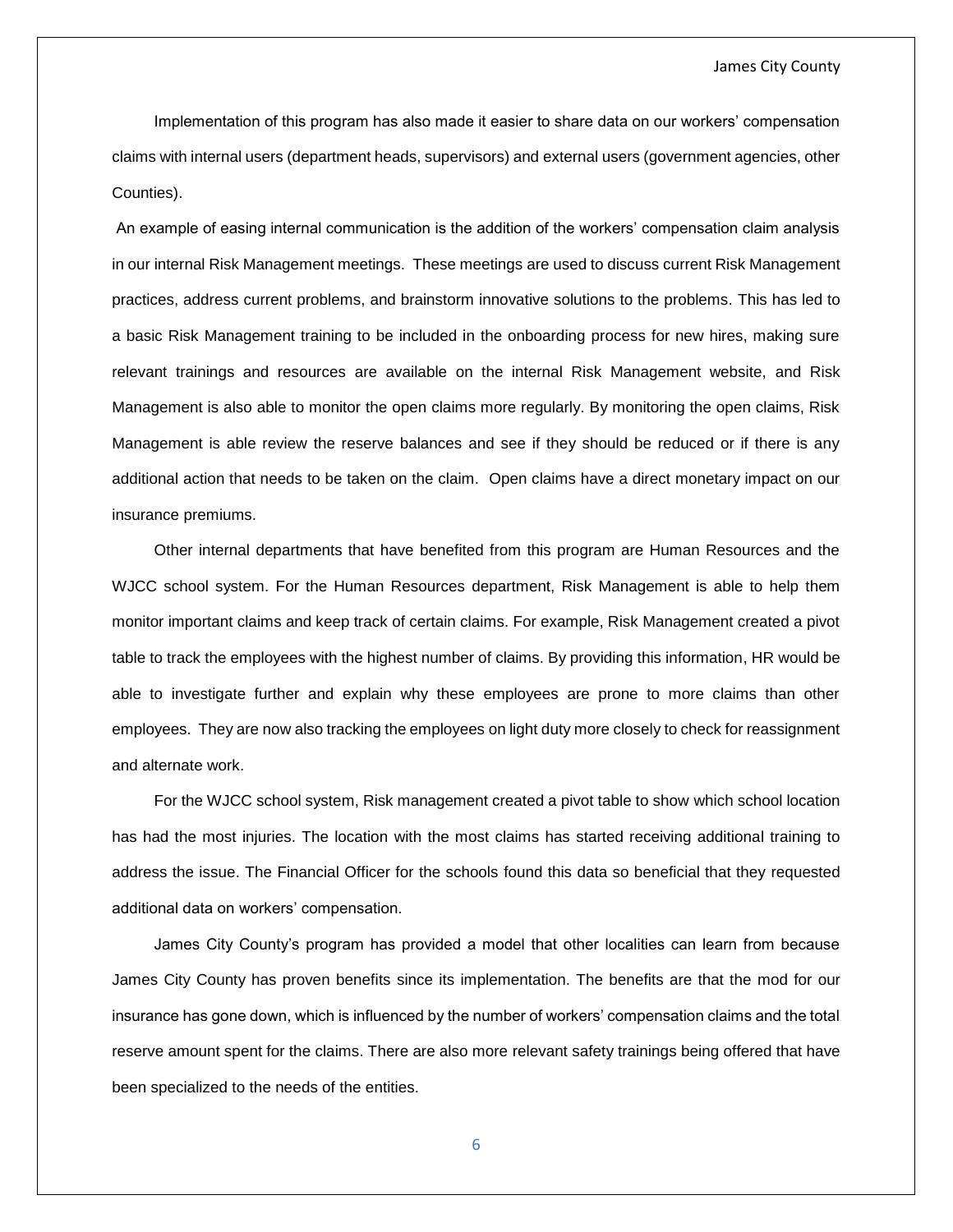#### James City County

Implementation of this program has also made it easier to share data on our workers' compensation claims with internal users (department heads, supervisors) and external users (government agencies, other Counties).

An example of easing internal communication is the addition of the workers' compensation claim analysis in our internal Risk Management meetings. These meetings are used to discuss current Risk Management practices, address current problems, and brainstorm innovative solutions to the problems. This has led to a basic Risk Management training to be included in the onboarding process for new hires, making sure relevant trainings and resources are available on the internal Risk Management website, and Risk Management is also able to monitor the open claims more regularly. By monitoring the open claims, Risk Management is able review the reserve balances and see if they should be reduced or if there is any additional action that needs to be taken on the claim. Open claims have a direct monetary impact on our insurance premiums.

Other internal departments that have benefited from this program are Human Resources and the WJCC school system. For the Human Resources department, Risk Management is able to help them monitor important claims and keep track of certain claims. For example, Risk Management created a pivot table to track the employees with the highest number of claims. By providing this information, HR would be able to investigate further and explain why these employees are prone to more claims than other employees. They are now also tracking the employees on light duty more closely to check for reassignment and alternate work.

For the WJCC school system, Risk management created a pivot table to show which school location has had the most injuries. The location with the most claims has started receiving additional training to address the issue. The Financial Officer for the schools found this data so beneficial that they requested additional data on workers' compensation.

James City County's program has provided a model that other localities can learn from because James City County has proven benefits since its implementation. The benefits are that the mod for our insurance has gone down, which is influenced by the number of workers' compensation claims and the total reserve amount spent for the claims. There are also more relevant safety trainings being offered that have been specialized to the needs of the entities.

6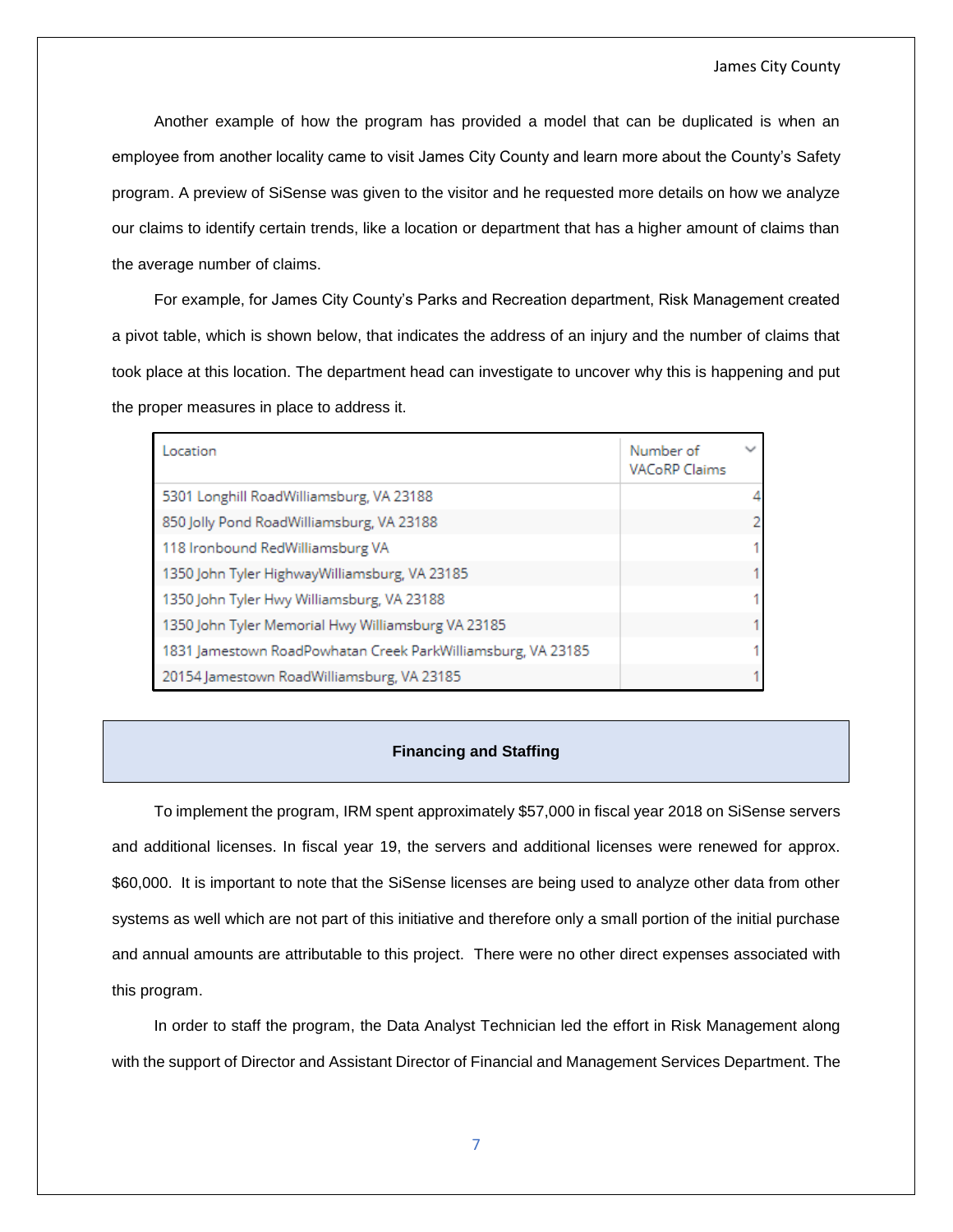Another example of how the program has provided a model that can be duplicated is when an employee from another locality came to visit James City County and learn more about the County's Safety program. A preview of SiSense was given to the visitor and he requested more details on how we analyze our claims to identify certain trends, like a location or department that has a higher amount of claims than the average number of claims.

For example, for James City County's Parks and Recreation department, Risk Management created a pivot table, which is shown below, that indicates the address of an injury and the number of claims that took place at this location. The department head can investigate to uncover why this is happening and put the proper measures in place to address it.

| Location                                                     | Number of<br><b>VACoRP Claims</b> | $\checkmark$   |
|--------------------------------------------------------------|-----------------------------------|----------------|
| 5301 Longhill RoadWilliamsburg, VA 23188                     |                                   | 4              |
| 850 Jolly Pond RoadWilliamsburg, VA 23188                    |                                   | $\overline{2}$ |
| 118 Ironbound RedWilliamsburg VA                             |                                   | 1              |
| 1350 John Tyler HighwayWilliamsburg, VA 23185                |                                   | 1              |
| 1350 John Tyler Hwy Williamsburg, VA 23188                   |                                   | 1              |
| 1350 John Tyler Memorial Hwy Williamsburg VA 23185           |                                   | 1              |
| 1831 Jamestown RoadPowhatan Creek ParkWilliamsburg, VA 23185 |                                   | 1              |
| 20154 Jamestown RoadWilliamsburg, VA 23185                   |                                   | 1              |

#### **Financing and Staffing**

To implement the program, IRM spent approximately \$57,000 in fiscal year 2018 on SiSense servers and additional licenses. In fiscal year 19, the servers and additional licenses were renewed for approx. \$60,000. It is important to note that the SiSense licenses are being used to analyze other data from other systems as well which are not part of this initiative and therefore only a small portion of the initial purchase and annual amounts are attributable to this project. There were no other direct expenses associated with this program.

In order to staff the program, the Data Analyst Technician led the effort in Risk Management along with the support of Director and Assistant Director of Financial and Management Services Department. The